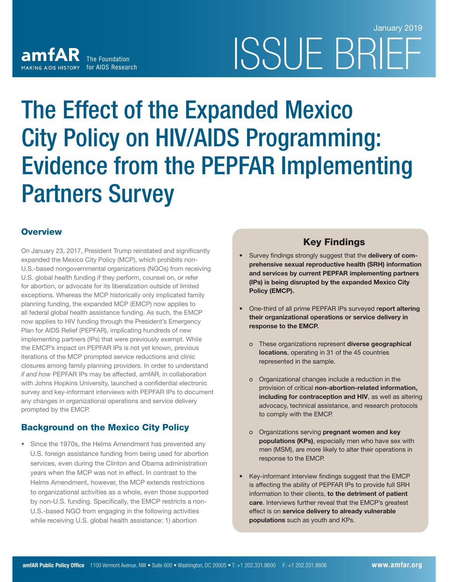# ISSUE BRIE January 2019

# The Effect of the Expanded Mexico City Policy on HIV/AIDS Programming: Evidence from the PEPFAR Implementing Partners Survey

# **Overview**

On January 23, 2017, President Trump reinstated and significantly expanded the Mexico City Policy (MCP), which prohibits non-U.S.-based nongovernmental organizations (NGOs) from receiving U.S. global health funding if they perform, counsel on, or refer for abortion, or advocate for its liberalization outside of limited exceptions. Whereas the MCP historically only implicated family planning funding, the expanded MCP (EMCP) now applies to all federal global health assistance funding. As such, the EMCP now applies to HIV funding through the President's Emergency Plan for AIDS Relief (PEPFAR), implicating hundreds of new implementing partners (IPs) that were previously exempt. While the EMCP's impact on PEPFAR IPs is not yet known, previous iterations of the MCP prompted service reductions and clinic closures among family planning providers. In order to understand  *if and how* PEPFAR IPs may be affected, amfAR, in collaboration with Johns Hopkins University, launched a confidential electronic survey and key-informant interviews with PEPFAR IPs to document any changes in organizational operations and service delivery prompted by the EMCP.

The Foundation

MAKING AIDS HISTORY for AIDS Research

amfAR

# Background on the Mexico City Policy

• Since the 1970s, the Helms Amendment has prevented any U.S. foreign assistance funding from being used for abortion services, even during the Clinton and Obama administration years when the MCP was not in effect. In contrast to the Helms Amendment, however, the MCP extends restrictions to organizational activities as a whole, even those supported by non-U.S. funding. Specifically, the EMCP restricts a non-U.S.-based NGO from engaging in the following activities while receiving U.S. global health assistance: 1) abortion

# Key Findings

- Survey findings strongly suggest that the delivery of comprehensive sexual reproductive health (SRH) information and services by current PEPFAR implementing partners (IPs) is being disrupted by the expanded Mexico City Policy (EMCP).
- One-third of all prime PEPFAR IPs surveyed report altering their organizational operations or service delivery in response to the EMCP.
	- o These organizations represent diverse geographical locations, operating in 31 of the 45 countries represented in the sample.
	- o Organizational changes include a reduction in the provision of critical non-abortion-related information, including for contraception and HIV, as well as altering advocacy, technical assistance, and research protocols to comply with the EMCP.
	- o Organizations serving pregnant women and key populations (KPs), especially men who have sex with men (MSM), are more likely to alter their operations in response to the EMCP.
- Key-informant interview findings suggest that the EMCP is affecting the ability of PEPFAR IPs to provide full SRH information to their clients, to the detriment of patient care. Interviews further reveal that the EMCP's greatest effect is on service delivery to already vulnerable populations such as youth and KPs.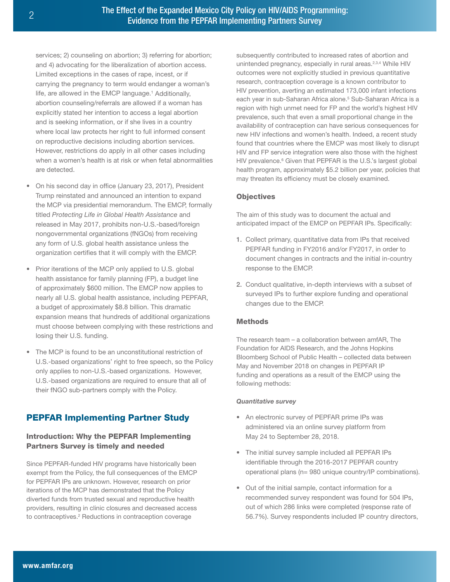services; 2) counseling on abortion; 3) referring for abortion; and 4) advocating for the liberalization of abortion access. Limited exceptions in the cases of rape, incest, or if carrying the pregnancy to term would endanger a woman's life, are allowed in the EMCP language.<sup>1</sup> Additionally, abortion counseling/referrals are allowed if a woman has explicitly stated her intention to access a legal abortion and is seeking information, or if she lives in a country where local law protects her right to full informed consent on reproductive decisions including abortion services. However, restrictions do apply in all other cases including when a women's health is at risk or when fetal abnormalities are detected.

- On his second day in office (January 23, 2017), President Trump reinstated and announced an intention to expand the MCP via presidential memorandum. The EMCP, formally titled *Protecting Life in Global Health Assistance* and released in May 2017, prohibits non-U.S.-based/foreign nongovernmental organizations (fNGOs) from receiving any form of U.S. global health assistance unless the organization certifies that it will comply with the EMCP.
- Prior iterations of the MCP only applied to U.S. global health assistance for family planning (FP), a budget line of approximately \$600 million. The EMCP now applies to nearly all U.S. global health assistance, including PEPFAR, a budget of approximately \$8.8 billion. This dramatic expansion means that hundreds of additional organizations must choose between complying with these restrictions and losing their U.S. funding.
- The MCP is found to be an unconstitutional restriction of U.S.-based organizations' right to free speech, so the Policy only applies to non-U.S.-based organizations. However, U.S.-based organizations are required to ensure that all of their fNGO sub-partners comply with the Policy.

# PEPFAR Implementing Partner Study

# Introduction: Why the PEPFAR Implementing Partners Survey is timely and needed

Since PEPFAR-funded HIV programs have historically been exempt from the Policy, the full consequences of the EMCP for PEPFAR IPs are unknown. However, research on prior iterations of the MCP has demonstrated that the Policy diverted funds from trusted sexual and reproductive health providers, resulting in clinic closures and decreased access to contraceptives.<sup>2</sup> Reductions in contraception coverage

subsequently contributed to increased rates of abortion and unintended pregnancy, especially in rural areas.<sup>2,3,4</sup> While HIV outcomes were not explicitly studied in previous quantitative research, contraception coverage is a known contributor to HIV prevention, averting an estimated 173,000 infant infections each year in sub-Saharan Africa alone.<sup>5</sup> Sub-Saharan Africa is a region with high unmet need for FP and the world's highest HIV prevalence, such that even a small proportional change in the availability of contraception can have serious consequences for new HIV infections and women's health. Indeed, a recent study found that countries where the EMCP was most likely to disrupt HIV and FP service integration were also those with the highest HIV prevalence.<sup>6</sup> Given that PEPFAR is the U.S.'s largest global health program, approximately \$5.2 billion per year, policies that may threaten its efficiency must be closely examined.

## **Objectives**

The aim of this study was to document the actual and anticipated impact of the EMCP on PEPFAR IPs. Specifically:

- 1. Collect primary, quantitative data from IPs that received PEPFAR funding in FY2016 and/or FY2017, in order to document changes in contracts and the initial in-country response to the EMCP.
- 2. Conduct qualitative, in-depth interviews with a subset of surveyed IPs to further explore funding and operational changes due to the EMCP.

# **Methods**

The research team – a collaboration between amfAR, The Foundation for AIDS Research, and the Johns Hopkins Bloomberg School of Public Health – collected data between May and November 2018 on changes in PEPFAR IP funding and operations as a result of the EMCP using the following methods:

## *Quantitative survey*

- An electronic survey of PEPFAR prime IPs was administered via an online survey platform from May 24 to September 28, 2018.
- The initial survey sample included all PEPFAR IPs identifiable through the 2016-2017 PEPFAR country operational plans (n= 980 unique country/IP combinations).
- Out of the initial sample, contact information for a recommended survey respondent was found for 504 IPs, out of which 286 links were completed (response rate of 56.7%). Survey respondents included IP country directors,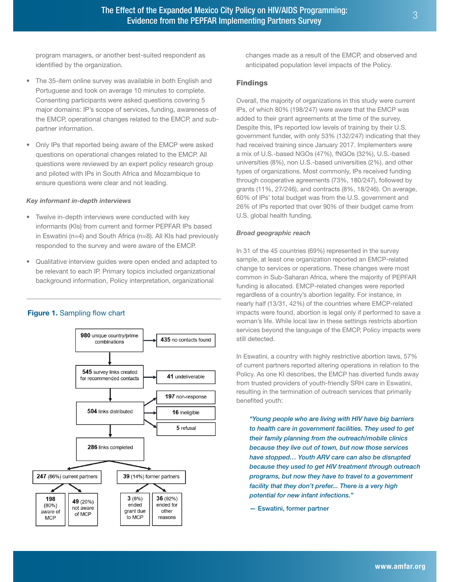program managers, or another best-suited respondent as identified by the organization.

- The 35-item online survey was available in both English and Portuguese and took on average 10 minutes to complete. Consenting participants were asked questions covering 5 major domains: IP's scope of services, funding, awareness of the EMCP, operational changes related to the EMCP, and subpartner information.
- Only IPs that reported being aware of the EMCP were asked questions on operational changes related to the EMCP. All questions were reviewed by an expert policy research group and piloted with IPs in South Africa and Mozambique to ensure questions were clear and not leading.

#### *Key informant in-depth interviews*

- Twelve in-depth interviews were conducted with key informants (KIs) from current and former PEPFAR IPs based in Eswatini (n=4) and South Africa (n=8). All KIs had previously responded to the survey and were aware of the EMCP.
- Qualitative interview guides were open ended and adapted to be relevant to each IP. Primary topics included organizational background information, Policy interpretation, organizational

#### Figure 1. Sampling flow chart



changes made as a result of the EMCP, and observed and anticipated population level impacts of the Policy.

#### Findings

Overall, the majority of organizations in this study were current IPs, of which 80% (198/247) were aware that the EMCP was added to their grant agreements at the time of the survey. Despite this, IPs reported low levels of training by their U.S. government funder, with only 53% (132/247) indicating that they had received training since January 2017. Implementers were a mix of U.S.-based NGOs (47%), fNGOs (32%), U.S.-based universities (8%), non U.S.-based universities (2%), and other types of organizations. Most commonly, IPs received funding through cooperative agreements (73%, 180/247), followed by grants (11%, 27/246), and contracts (8%, 18/246). On average, 60% of IPs' total budget was from the U.S. government and 26% of IPs reported that over 90% of their budget came from U.S. global health funding.

#### *Broad geographic reach*

In 31 of the 45 countries (69%) represented in the survey sample, at least one organization reported an EMCP-related change to services or operations. These changes were most common in Sub-Saharan Africa, where the majority of PEPFAR funding is allocated. EMCP-related changes were reported regardless of a country's abortion legality. For instance, in nearly half (13/31, 42%) of the countries where EMCP-related impacts were found, abortion is legal only if performed to save a woman's life. While local law in these settings restricts abortion services beyond the language of the EMCP, Policy impacts were still detected.

In Eswatini, a country with highly restrictive abortion laws, 57% of current partners reported altering operations in relation to the Policy. As one KI describes, the EMCP has diverted funds away from trusted providers of youth-friendly SRH care in Eswatini, resulting in the termination of outreach services that primarily benefited youth:

*"Young people who are living with HIV have big barriers to health care in government facilities. They used to get their family planning from the outreach/mobile clinics because they live out of town, but now those services have stopped… Youth ARV care can also be disrupted because they used to get HIV treatment through outreach programs, but now they have to travel to a government facility that they don't prefer... There is a very high potential for new infant infections."* 

— Eswatini, former partner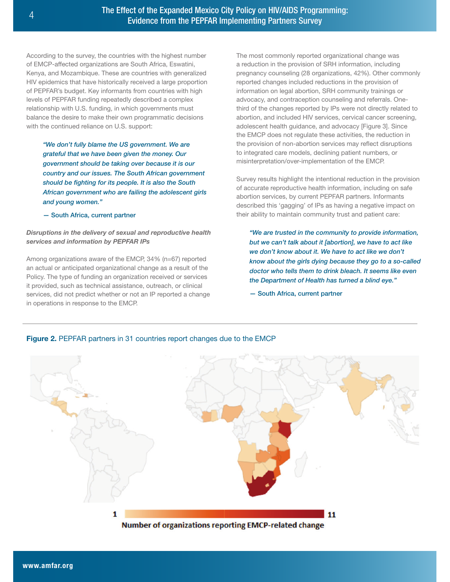According to the survey, the countries with the highest number of EMCP-affected organizations are South Africa, Eswatini, Kenya, and Mozambique. These are countries with generalized HIV epidemics that have historically received a large proportion of PEPFAR's budget. Key informants from countries with high levels of PEPFAR funding repeatedly described a complex relationship with U.S. funding, in which governments must balance the desire to make their own programmatic decisions with the continued reliance on U.S. support:

*"We don't fully blame the US government. We are grateful that we have been given the money. Our government should be taking over because it is our country and our issues. The South African government should be fighting for its people. It is also the South African government who are failing the adolescent girls and young women."*

— South Africa, current partner

#### *Disruptions in the delivery of sexual and reproductive health services and information by PEPFAR IPs*

Among organizations aware of the EMCP, 34% (n=67) reported an actual or anticipated organizational change as a result of the Policy. The type of funding an organization received or services it provided, such as technical assistance, outreach, or clinical services, did not predict whether or not an IP reported a change in operations in response to the EMCP.

The most commonly reported organizational change was a reduction in the provision of SRH information, including pregnancy counseling (28 organizations, 42%). Other commonly reported changes included reductions in the provision of information on legal abortion, SRH community trainings or advocacy, and contraception counseling and referrals. Onethird of the changes reported by IPs were not directly related to abortion, and included HIV services, cervical cancer screening, adolescent health guidance, and advocacy [Figure 3]. Since the EMCP does not regulate these activities, the reduction in the provision of non-abortion services may reflect disruptions to integrated care models, declining patient numbers, or misinterpretation/over-implementation of the EMCP.

Survey results highlight the intentional reduction in the provision of accurate reproductive health information, including on safe abortion services, by current PEPFAR partners. Informants described this 'gagging' of IPs as having a negative impact on their ability to maintain community trust and patient care:

*"We are trusted in the community to provide information, but we can't talk about it [abortion], we have to act like we don't know about it. We have to act like we don't know about the girls dying because they go to a so-called doctor who tells them to drink bleach. It seems like even the Department of Health has turned a blind eye."*

— South Africa, current partner



# Figure 2. PEPFAR partners in 31 countries report changes due to the EMCP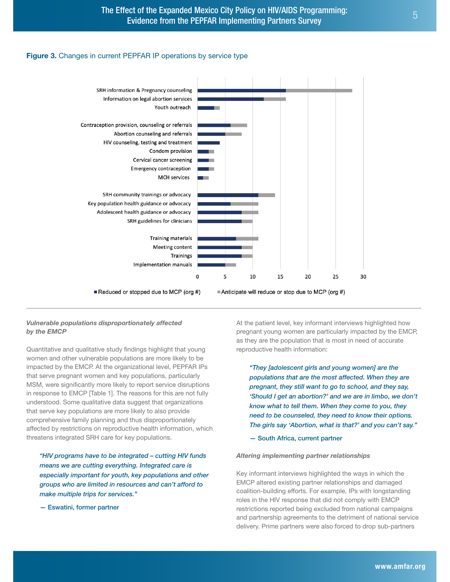#### Figure 3. Changes in current PEPFAR IP operations by service type



#### *Vulnerable populations disproportionately affected by the EMCP*

Quantitative and qualitative study findings highlight that young women and other vulnerable populations are more likely to be impacted by the EMCP. At the organizational level, PEPFAR IPs that serve pregnant women and key populations, particularly MSM, were significantly more likely to report service disruptions in response to EMCP [Table 1]. The reasons for this are not fully understood. Some qualitative data suggest that organizations that serve key populations are more likely to also provide comprehensive family planning and thus disproportionately affected by restrictions on reproductive health information, which threatens integrated SRH care for key populations.

*"HIV programs have to be integrated – cutting HIV funds means we are cutting everything. Integrated care is especially important for youth, key populations and other groups who are limited in resources and can't afford to make multiple trips for services."*

— Eswatini, former partner

At the patient level, key informant interviews highlighted how pregnant young women are particularly impacted by the EMCP, as they are the population that is most in need of accurate reproductive health information:

*"They [adolescent girls and young women] are the populations that are the most affected. When they are pregnant, they still want to go to school, and they say, 'Should I get an abortion?' and we are in limbo, we don't know what to tell them. When they come to you, they need to be counseled, they need to know their options. The girls say 'Abortion, what is that?' and you can't say."*

— South Africa, current partner

#### *Altering implementing partner relationships*

Key informant interviews highlighted the ways in which the EMCP altered existing partner relationships and damaged coalition-building efforts. For example, IPs with longstanding roles in the HIV response that did not comply with EMCP restrictions reported being excluded from national campaigns and partnership agreements to the detriment of national service delivery. Prime partners were also forced to drop sub-partners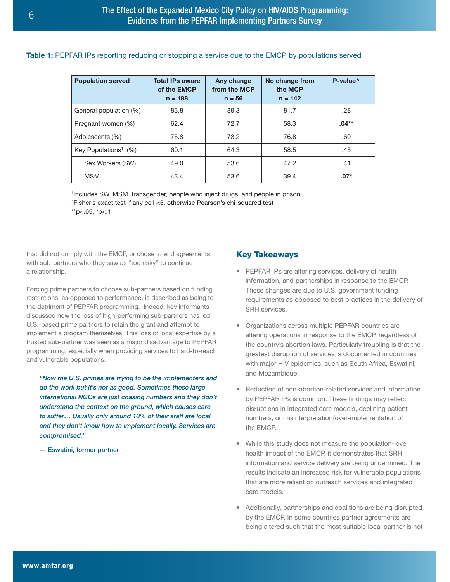## Table 1: PEPFAR IPs reporting reducing or stopping a service due to the EMCP by populations served

| <b>Population served</b>            | <b>Total IPs aware</b><br>of the <b>EMCP</b><br>$n = 198$ | Any change<br>from the MCP<br>$n = 56$ | No change from<br>the MCP<br>$n = 142$ | P-value <sup>^</sup> |
|-------------------------------------|-----------------------------------------------------------|----------------------------------------|----------------------------------------|----------------------|
| General population (%)              | 83.8                                                      | 89.3                                   | 81.7                                   | .28                  |
| Pregnant women (%)                  | 62.4                                                      | 72.7                                   | 58.3                                   | $.04**$              |
| Adolescents (%)                     | 75.8                                                      | 73.2                                   | 76.8                                   | .60                  |
| Key Populations <sup>1</sup> $(\%)$ | 60.1                                                      | 64.3                                   | 58.5                                   | .45                  |
| Sex Workers (SW)                    | 49.0                                                      | 53.6                                   | 47.2                                   | .41                  |
| <b>MSM</b>                          | 43.4                                                      | 53.6                                   | 39.4                                   | $.07*$               |

<sup>1</sup>Includes SW, MSM, transgender, people who inject drugs, and people in prison ^Fisher's exact test if any cell <5, otherwise Pearson's chi-squared test  $*$ p<.05,  $*$ p<.1

that did not comply with the EMCP, or chose to end agreements with sub-partners who they saw as "too risky" to continue a relationship.

Forcing prime partners to choose sub-partners based on funding restrictions, as opposed to performance, is described as being to the detriment of PEPFAR programming. Indeed, key informants discussed how the loss of high-performing sub-partners has led U.S.-based prime partners to retain the grant and attempt to implement a program themselves. This loss of local expertise by a trusted sub-partner was seen as a major disadvantage to PEPFAR programming, especially when providing services to hard-to-reach and vulnerable populations.

*"Now the U.S. primes are trying to be the implementers and do the work but it's not as good. Sometimes these large international NGOs are just chasing numbers and they don't understand the context on the ground, which causes care to suffer… Usually only around 10% of their staff are local and they don't know how to implement locally. Services are compromised."*

— Eswatini, former partner

## Key Takeaways

- PEPFAR IPs are altering services, delivery of health information, and partnerships in response to the EMCP. These changes are due to U.S. government funding requirements as opposed to best practices in the delivery of SRH services.
- Organizations across multiple PEPFAR countries are altering operations in response to the EMCP, regardless of the country's abortion laws. Particularly troubling is that the greatest disruption of services is documented in countries with major HIV epidemics, such as South Africa, Eswatini, and Mozambique.
- Reduction of non-abortion-related services and information by PEPFAR IPs is common. These findings may reflect disruptions in integrated care models, declining patient numbers, or misinterpretation/over-implementation of the EMCP.
- While this study does not measure the population-level health impact of the EMCP, it demonstrates that SRH information and service delivery are being undermined. The results indicate an increased risk for vulnerable populations that are more reliant on outreach services and integrated care models.
- Additionally, partnerships and coalitions are being disrupted by the EMCP. In some countries partner agreements are being altered such that the most suitable local partner is not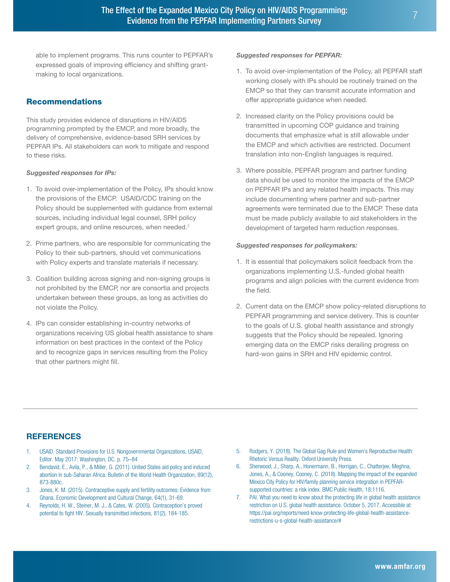able to implement programs. This runs counter to PEPFAR's expressed goals of improving efficiency and shifting grantmaking to local organizations.

## Recommendations

This study provides evidence of disruptions in HIV/AIDS programming prompted by the EMCP, and more broadly, the delivery of comprehensive, evidence-based SRH services by PEPFAR IPs. All stakeholders can work to mitigate and respond to these risks.

#### *Suggested responses for IPs:*

- 1. To avoid over-implementation of the Policy, IPs should know the provisions of the EMCP. USAID/CDC training on the Policy should be supplemented with guidance from external sources, including individual legal counsel, SRH policy expert groups, and online resources, when needed.<sup>7</sup>
- 2. Prime partners, who are responsible for communicating the Policy to their sub-partners, should vet communications with Policy experts and translate materials if necessary.
- 3. Coalition building across signing and non-signing groups is not prohibited by the EMCP, nor are consortia and projects undertaken between these groups, as long as activities do not violate the Policy.
- 4. IPs can consider establishing in-country networks of organizations receiving US global health assistance to share information on best practices in the context of the Policy and to recognize gaps in services resulting from the Policy that other partners might fill.

#### *Suggested responses for PEPFAR:*

- 1. To avoid over-implementation of the Policy, all PEPFAR staff working closely with IPs should be routinely trained on the EMCP so that they can transmit accurate information and offer appropriate guidance when needed.
- 2. Increased clarity on the Policy provisions could be transmitted in upcoming COP guidance and training documents that emphasize what is still allowable under the EMCP and which activities are restricted. Document translation into non-English languages is required.
- 3. Where possible, PEPFAR program and partner funding data should be used to monitor the impacts of the EMCP on PEPFAR IPs and any related health impacts. This may include documenting where partner and sub-partner agreements were terminated due to the EMCP. These data must be made publicly available to aid stakeholders in the development of targeted harm reduction responses.

#### *Suggested responses for policymakers:*

- 1. It is essential that policymakers solicit feedback from the organizations implementing U.S.-funded global health programs and align policies with the current evidence from the field.
- 2. Current data on the EMCP show policy-related disruptions to PEPFAR programming and service delivery. This is counter to the goals of U.S. global health assistance and strongly suggests that the Policy should be repealed. Ignoring emerging data on the EMCP risks derailing progress on hard-won gains in SRH and HIV epidemic control.

## REFERENCES

- 1. USAID. Standard Provisions for U.S. Nongovernmental Organizations, USAID, Editor. May 2017: Washington, DC. p. 75–84
- 2. Bendavid, E., Avila, P., & Miller, G. (2011). United States aid policy and induced abortion in sub-Saharan Africa. Bulletin of the World Health Organization, 89(12), 873-880c.
- 3. Jones, K. M. (2015). Contraceptive supply and fertility outcomes: Evidence from Ghana. Economic Development and Cultural Change, 64(1), 31-69.
- 4. Reynolds, H. W., Steiner, M. J., & Cates, W. (2005). Contraception's proved potential to fight HIV. Sexually transmitted infections, 81(2), 184-185.
- 5. Rodgers, Y. (2018). The Global Gag Rule and Women's Reproductive Health: Rhetoric Versus Reality. Oxford University Press.
- 6. Sherwood, J., Sharp, A., Honermann, B., Horrigan, C., Chatterjee, Meghna, Jones, A., & Cooney, Cooney, C. (2018). Mapping the impact of the expanded Mexico City Policy for HIV/family planning service integration in PEPFARsupported countries: a risk index. BMC Public Health, 18:1116.
- 7. PAI. What you need to know about the protecting life in global health assistance restriction on U.S. global health assistance. October 5, 2017. Accessible at: https://pai.org/reports/need-know-protecting-life-global-health-assistancerestrictions-u-s-global-health-assistance/#